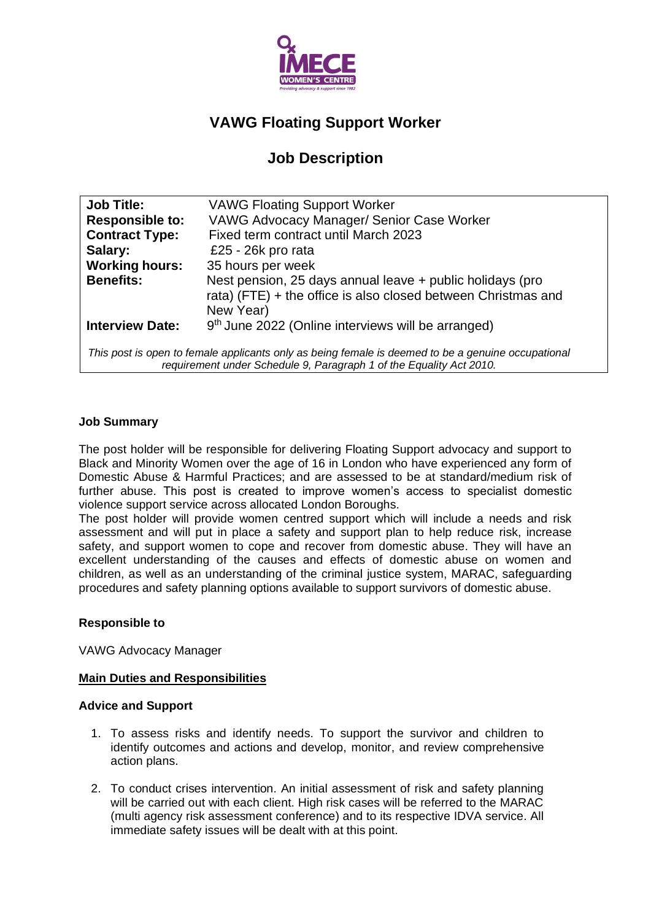

# **VAWG Floating Support Worker**

# **Job Description**

| <b>Job Title:</b>                                                                                                                                                         | <b>VAWG Floating Support Worker</b>                                                                                                     |  |  |  |
|---------------------------------------------------------------------------------------------------------------------------------------------------------------------------|-----------------------------------------------------------------------------------------------------------------------------------------|--|--|--|
| <b>Responsible to:</b>                                                                                                                                                    | VAWG Advocacy Manager/ Senior Case Worker                                                                                               |  |  |  |
| <b>Contract Type:</b>                                                                                                                                                     | Fixed term contract until March 2023                                                                                                    |  |  |  |
| Salary:                                                                                                                                                                   | £25 - 26 $k$ pro rata                                                                                                                   |  |  |  |
| <b>Working hours:</b>                                                                                                                                                     | 35 hours per week                                                                                                                       |  |  |  |
| <b>Benefits:</b>                                                                                                                                                          | Nest pension, 25 days annual leave + public holidays (pro<br>rata) (FTE) + the office is also closed between Christmas and<br>New Year) |  |  |  |
| <b>Interview Date:</b>                                                                                                                                                    | 9 <sup>th</sup> June 2022 (Online interviews will be arranged)                                                                          |  |  |  |
| This post is open to female applicants only as being female is deemed to be a genuine occupational<br>requirement under Schedule 9, Paragraph 1 of the Equality Act 2010. |                                                                                                                                         |  |  |  |

### **Job Summary**

The post holder will be responsible for delivering Floating Support advocacy and support to Black and Minority Women over the age of 16 in London who have experienced any form of Domestic Abuse & Harmful Practices; and are assessed to be at standard/medium risk of further abuse. This post is created to improve women's access to specialist domestic violence support service across allocated London Boroughs.

The post holder will provide women centred support which will include a needs and risk assessment and will put in place a safety and support plan to help reduce risk, increase safety, and support women to cope and recover from domestic abuse. They will have an excellent understanding of the causes and effects of domestic abuse on women and children, as well as an understanding of the criminal justice system, MARAC, safeguarding procedures and safety planning options available to support survivors of domestic abuse.

### **Responsible to**

VAWG Advocacy Manager

### **Main Duties and Responsibilities**

#### **Advice and Support**

- 1. To assess risks and identify needs. To support the survivor and children to identify outcomes and actions and develop, monitor, and review comprehensive action plans.
- 2. To conduct crises intervention. An initial assessment of risk and safety planning will be carried out with each client. High risk cases will be referred to the MARAC (multi agency risk assessment conference) and to its respective IDVA service. All immediate safety issues will be dealt with at this point.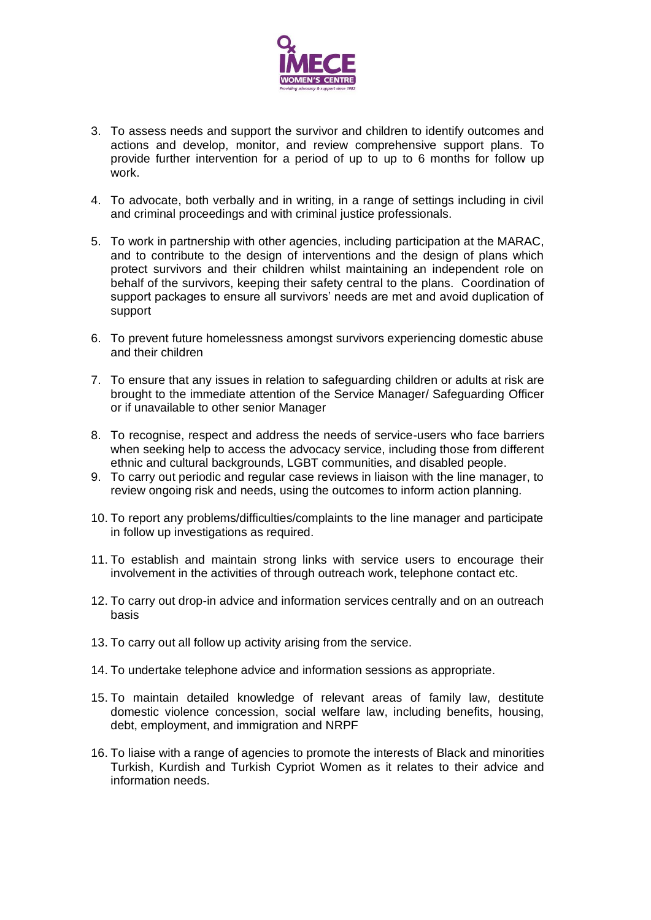

- 3. To assess needs and support the survivor and children to identify outcomes and actions and develop, monitor, and review comprehensive support plans. To provide further intervention for a period of up to up to 6 months for follow up work.
- 4. To advocate, both verbally and in writing, in a range of settings including in civil and criminal proceedings and with criminal justice professionals.
- 5. To work in partnership with other agencies, including participation at the MARAC, and to contribute to the design of interventions and the design of plans which protect survivors and their children whilst maintaining an independent role on behalf of the survivors, keeping their safety central to the plans. Coordination of support packages to ensure all survivors' needs are met and avoid duplication of support
- 6. To prevent future homelessness amongst survivors experiencing domestic abuse and their children
- 7. To ensure that any issues in relation to safeguarding children or adults at risk are brought to the immediate attention of the Service Manager/ Safeguarding Officer or if unavailable to other senior Manager
- 8. To recognise, respect and address the needs of service-users who face barriers when seeking help to access the advocacy service, including those from different ethnic and cultural backgrounds, LGBT communities, and disabled people.
- 9. To carry out periodic and regular case reviews in liaison with the line manager, to review ongoing risk and needs, using the outcomes to inform action planning.
- 10. To report any problems/difficulties/complaints to the line manager and participate in follow up investigations as required.
- 11. To establish and maintain strong links with service users to encourage their involvement in the activities of through outreach work, telephone contact etc.
- 12. To carry out drop-in advice and information services centrally and on an outreach basis
- 13. To carry out all follow up activity arising from the service.
- 14. To undertake telephone advice and information sessions as appropriate.
- 15. To maintain detailed knowledge of relevant areas of family law, destitute domestic violence concession, social welfare law, including benefits, housing, debt, employment, and immigration and NRPF
- 16. To liaise with a range of agencies to promote the interests of Black and minorities Turkish, Kurdish and Turkish Cypriot Women as it relates to their advice and information needs.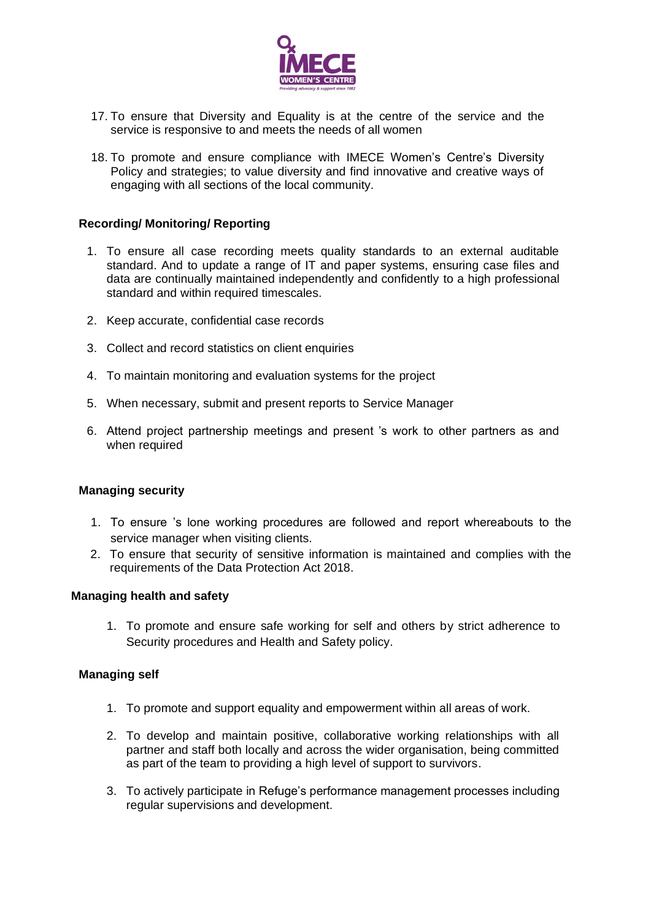

- 17. To ensure that Diversity and Equality is at the centre of the service and the service is responsive to and meets the needs of all women
- 18. To promote and ensure compliance with IMECE Women's Centre's Diversity Policy and strategies; to value diversity and find innovative and creative ways of engaging with all sections of the local community.

### **Recording/ Monitoring/ Reporting**

- 1. To ensure all case recording meets quality standards to an external auditable standard. And to update a range of IT and paper systems, ensuring case files and data are continually maintained independently and confidently to a high professional standard and within required timescales.
- 2. Keep accurate, confidential case records
- 3. Collect and record statistics on client enquiries
- 4. To maintain monitoring and evaluation systems for the project
- 5. When necessary, submit and present reports to Service Manager
- 6. Attend project partnership meetings and present 's work to other partners as and when required

#### **Managing security**

- 1. To ensure 's lone working procedures are followed and report whereabouts to the service manager when visiting clients.
- 2. To ensure that security of sensitive information is maintained and complies with the requirements of the Data Protection Act 2018.

#### **Managing health and safety**

1. To promote and ensure safe working for self and others by strict adherence to Security procedures and Health and Safety policy.

#### **Managing self**

- 1. To promote and support equality and empowerment within all areas of work.
- 2. To develop and maintain positive, collaborative working relationships with all partner and staff both locally and across the wider organisation, being committed as part of the team to providing a high level of support to survivors.
- 3. To actively participate in Refuge's performance management processes including regular supervisions and development.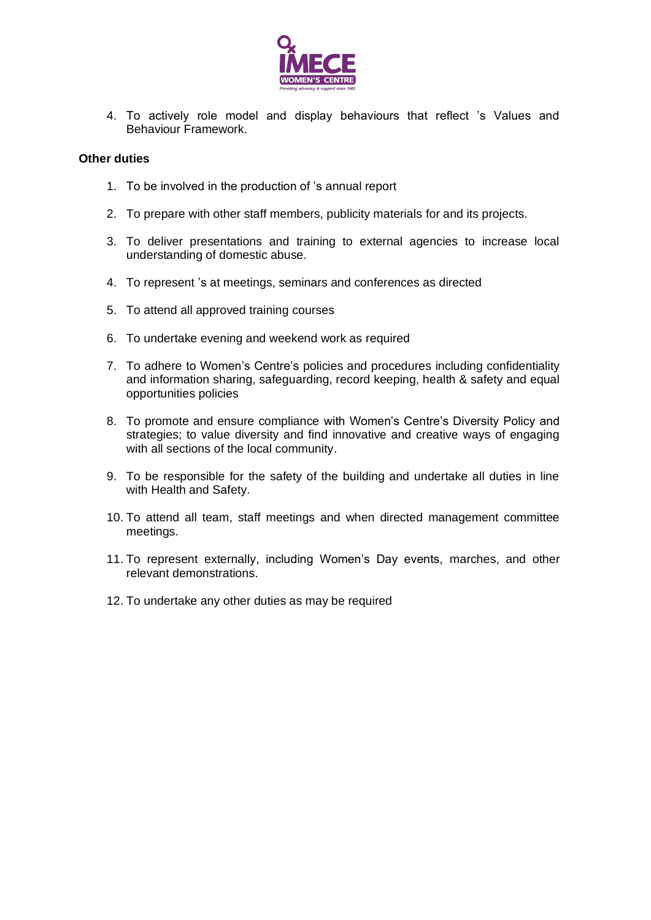

4. To actively role model and display behaviours that reflect 's Values and Behaviour Framework.

#### **Other duties**

- 1. To be involved in the production of 's annual report
- 2. To prepare with other staff members, publicity materials for and its projects.
- 3. To deliver presentations and training to external agencies to increase local understanding of domestic abuse.
- 4. To represent 's at meetings, seminars and conferences as directed
- 5. To attend all approved training courses
- 6. To undertake evening and weekend work as required
- 7. To adhere to Women's Centre's policies and procedures including confidentiality and information sharing, safeguarding, record keeping, health & safety and equal opportunities policies
- 8. To promote and ensure compliance with Women's Centre's Diversity Policy and strategies; to value diversity and find innovative and creative ways of engaging with all sections of the local community.
- 9. To be responsible for the safety of the building and undertake all duties in line with Health and Safety.
- 10. To attend all team, staff meetings and when directed management committee meetings.
- 11. To represent externally, including Women's Day events, marches, and other relevant demonstrations.
- 12. To undertake any other duties as may be required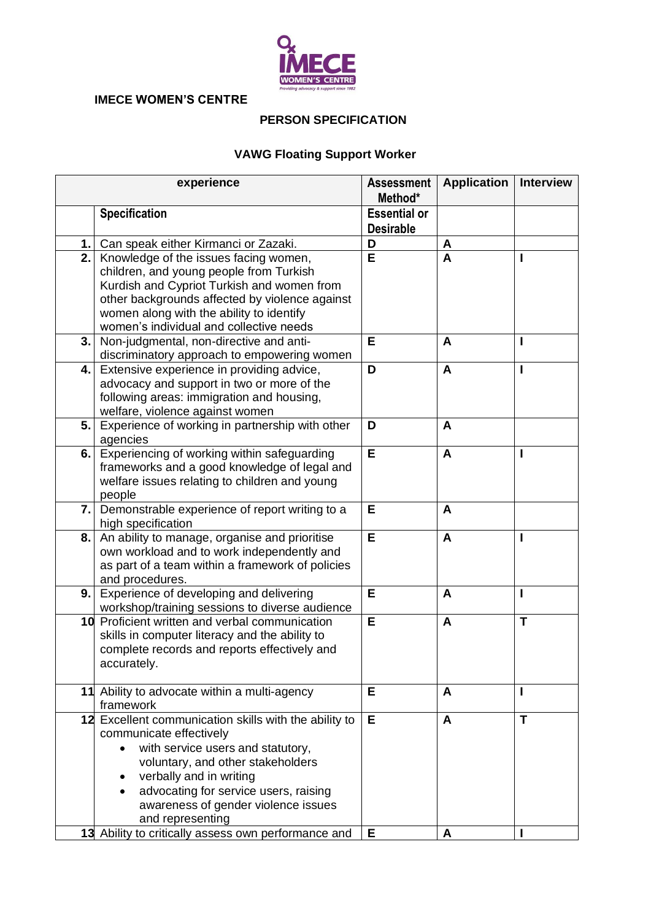

## **IMECE WOMEN'S CENTRE**

# **PERSON SPECIFICATION**

# **VAWG Floating Support Worker**

| experience |                                                                                                                                                                                                                                                                                           | <b>Assessment</b><br>Method*            | <b>Application</b> | <b>Interview</b> |
|------------|-------------------------------------------------------------------------------------------------------------------------------------------------------------------------------------------------------------------------------------------------------------------------------------------|-----------------------------------------|--------------------|------------------|
|            | <b>Specification</b>                                                                                                                                                                                                                                                                      | <b>Essential or</b><br><b>Desirable</b> |                    |                  |
| 1.         | Can speak either Kirmanci or Zazaki.                                                                                                                                                                                                                                                      | D                                       | A                  |                  |
| 2.         | Knowledge of the issues facing women,<br>children, and young people from Turkish<br>Kurdish and Cypriot Turkish and women from<br>other backgrounds affected by violence against<br>women along with the ability to identify<br>women's individual and collective needs                   | E                                       | A                  |                  |
| 3.         | Non-judgmental, non-directive and anti-<br>discriminatory approach to empowering women                                                                                                                                                                                                    | E                                       | A                  | ı                |
| 4.         | Extensive experience in providing advice,<br>advocacy and support in two or more of the<br>following areas: immigration and housing,<br>welfare, violence against women                                                                                                                   | D                                       | $\mathbf{A}$       | I                |
| 5.         | Experience of working in partnership with other<br>agencies                                                                                                                                                                                                                               | D                                       | A                  |                  |
| 6.         | Experiencing of working within safeguarding<br>frameworks and a good knowledge of legal and<br>welfare issues relating to children and young<br>people                                                                                                                                    | E                                       | A                  | I                |
| 7.1        | Demonstrable experience of report writing to a<br>high specification                                                                                                                                                                                                                      | Е                                       | A                  |                  |
| 8.         | An ability to manage, organise and prioritise<br>own workload and to work independently and<br>as part of a team within a framework of policies<br>and procedures.                                                                                                                        | E                                       | A                  | ı                |
| 9.         | Experience of developing and delivering<br>workshop/training sessions to diverse audience                                                                                                                                                                                                 | E                                       | A                  | I                |
|            | 10 Proficient written and verbal communication<br>skills in computer literacy and the ability to<br>complete records and reports effectively and<br>accurately.                                                                                                                           | Е                                       | A                  | T                |
|            | 11 Ability to advocate within a multi-agency<br>framework                                                                                                                                                                                                                                 | Е                                       | A                  |                  |
|            | 12 Excellent communication skills with the ability to<br>communicate effectively<br>with service users and statutory,<br>voluntary, and other stakeholders<br>verbally and in writing<br>advocating for service users, raising<br>awareness of gender violence issues<br>and representing | Е                                       | A                  | Т                |
|            | 13 Ability to critically assess own performance and                                                                                                                                                                                                                                       | Е                                       | A                  |                  |